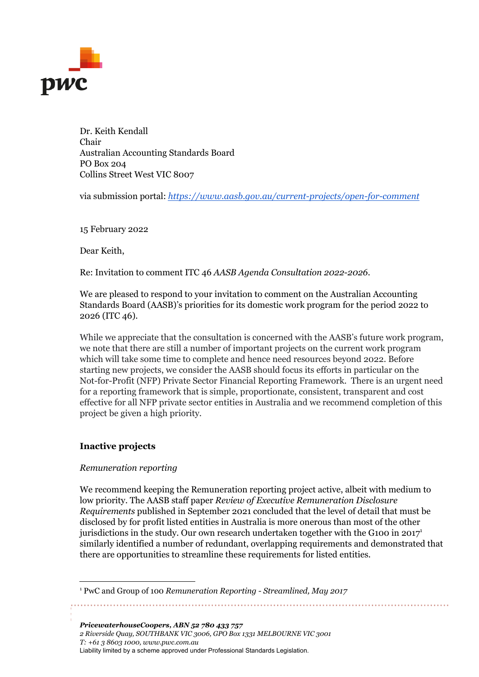

Dr. Keith Kendall Chair Australian Accounting Standards Board PO Box 204 Collins Street West VIC 8007

via submission portal: *<https://www.aasb.gov.au/current-projects/open-for-comment>*

15 February 2022

Dear Keith,

Re: Invitation to comment ITC 46 *AASB Agenda Consultation 2022-2026*.

We are pleased to respond to your invitation to comment on the Australian Accounting Standards Board (AASB)'s priorities for its domestic work program for the period 2022 to 2026 (ITC 46).

While we appreciate that the consultation is concerned with the AASB's future work program, we note that there are still a number of important projects on the current work program which will take some time to complete and hence need resources beyond 2022. Before starting new projects, we consider the AASB should focus its efforts in particular on the Not-for-Profit (NFP) Private Sector Financial Reporting Framework. There is an urgent need for a reporting framework that is simple, proportionate, consistent, transparent and cost effective for all NFP private sector entities in Australia and we recommend completion of this project be given a high priority.

## **Inactive projects**

#### *Remuneration reporting*

We recommend keeping the Remuneration reporting project active, albeit with medium to low priority. The AASB staff paper *Review of Executive Remuneration Disclosure Requirements* published in September 2021 concluded that the level of detail that must be disclosed by for profit listed entities in Australia is more onerous than most of the other jurisdictions in the study. Our own research undertaken together with the G100 in 2017 1 similarly identified a number of redundant, overlapping requirements and demonstrated that there are opportunities to streamline these requirements for listed entities.

*PricewaterhouseCoopers, ABN 52 780 433 757 2 Riverside Quay, SOUTHBANK VIC 3006, GPO Box 1331 MELBOURNE VIC 3001 T: +61 3 8603 1000, www.pwc.com.au* Liability limited by a scheme approved under Professional Standards Legislation.

<sup>1</sup> PwC and Group of 100 *Remuneration Reporting - Streamlined, May 2017*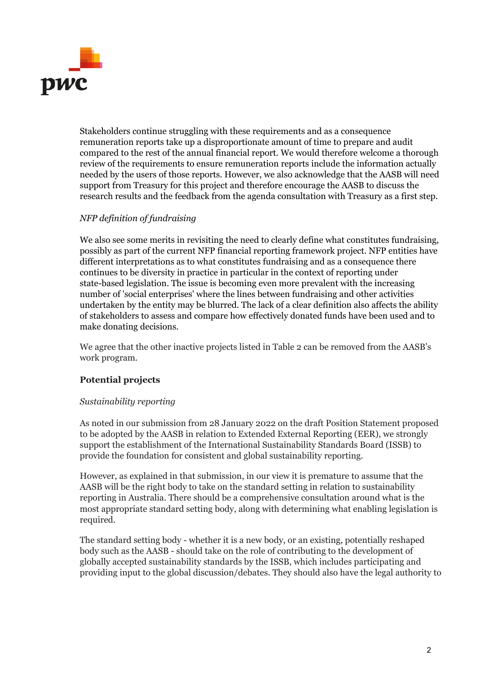

Stakeholders continue struggling with these requirements and as a consequence remuneration reports take up a disproportionate amount of time to prepare and audit compared to the rest of the annual financial report. We would therefore welcome a thorough review of the requirements to ensure remuneration reports include the information actually needed by the users of those reports. However, we also acknowledge that the AASB will need support from Treasury for this project and therefore encourage the AASB to discuss the research results and the feedback from the agenda consultation with Treasury as a first step.

## *NFP definition of fundraising*

We also see some merits in revisiting the need to clearly define what constitutes fundraising, possibly as part of the current NFP financial reporting framework project. NFP entities have different interpretations as to what constitutes fundraising and as a consequence there continues to be diversity in practice in particular in the context of reporting under state-based legislation. The issue is becoming even more prevalent with the increasing number of 'social enterprises' where the lines between fundraising and other activities undertaken by the entity may be blurred. The lack of a clear definition also affects the ability of stakeholders to assess and compare how effectively donated funds have been used and to make donating decisions.

We agree that the other inactive projects listed in Table 2 can be removed from the AASB's work program.

## **Potential projects**

#### *Sustainability reporting*

As noted in our submission from 28 January 2022 on the draft Position Statement proposed to be adopted by the AASB in relation to Extended External Reporting (EER), we strongly support the establishment of the International Sustainability Standards Board (ISSB) to provide the foundation for consistent and global sustainability reporting.

However, as explained in that submission, in our view it is premature to assume that the AASB will be the right body to take on the standard setting in relation to sustainability reporting in Australia. There should be a comprehensive consultation around what is the most appropriate standard setting body, along with determining what enabling legislation is required.

The standard setting body - whether it is a new body, or an existing, potentially reshaped body such as the AASB - should take on the role of contributing to the development of globally accepted sustainability standards by the ISSB, which includes participating and providing input to the global discussion/debates. They should also have the legal authority to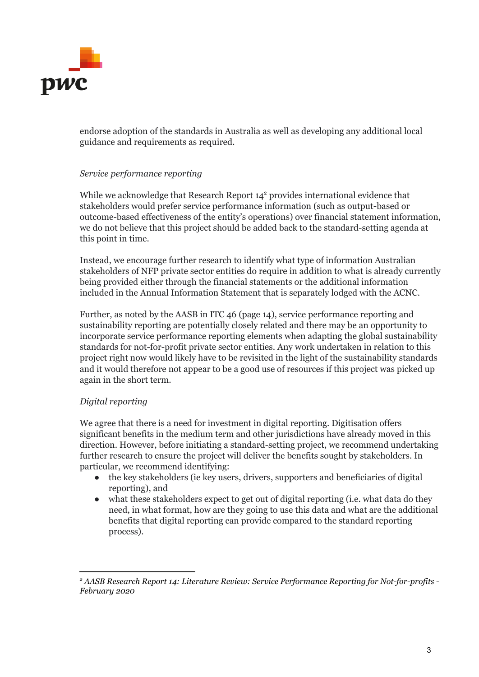

endorse adoption of the standards in Australia as well as developing any additional local guidance and requirements as required.

## *Service performance reporting*

While we acknowledge that Research Report  $14<sup>2</sup>$  provides international evidence that stakeholders would prefer service performance information (such as output-based or outcome-based effectiveness of the entity's operations) over financial statement information, we do not believe that this project should be added back to the standard-setting agenda at this point in time.

Instead, we encourage further research to identify what type of information Australian stakeholders of NFP private sector entities do require in addition to what is already currently being provided either through the financial statements or the additional information included in the Annual Information Statement that is separately lodged with the ACNC.

Further, as noted by the AASB in ITC 46 (page 14), service performance reporting and sustainability reporting are potentially closely related and there may be an opportunity to incorporate service performance reporting elements when adapting the global sustainability standards for not-for-profit private sector entities. Any work undertaken in relation to this project right now would likely have to be revisited in the light of the sustainability standards and it would therefore not appear to be a good use of resources if this project was picked up again in the short term.

## *Digital reporting*

We agree that there is a need for investment in digital reporting. Digitisation offers significant benefits in the medium term and other jurisdictions have already moved in this direction. However, before initiating a standard-setting project, we recommend undertaking further research to ensure the project will deliver the benefits sought by stakeholders. In particular, we recommend identifying:

- the key stakeholders (ie key users, drivers, supporters and beneficiaries of digital reporting), and
- what these stakeholders expect to get out of digital reporting (i.e. what data do they need, in what format, how are they going to use this data and what are the additional benefits that digital reporting can provide compared to the standard reporting process).

*<sup>2</sup> AASB Research Report 14: Literature Review: Service Performance Reporting for Not-for-profits - February 2020*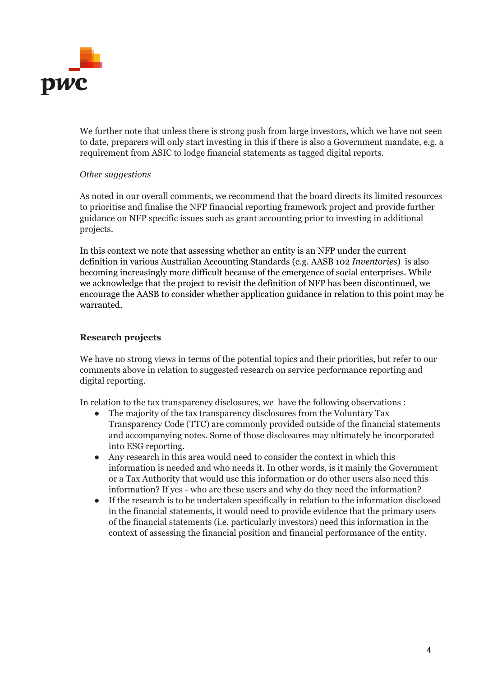

We further note that unless there is strong push from large investors, which we have not seen to date, preparers will only start investing in this if there is also a Government mandate, e.g. a requirement from ASIC to lodge financial statements as tagged digital reports.

### *Other suggestions*

As noted in our overall comments, we recommend that the board directs its limited resources to prioritise and finalise the NFP financial reporting framework project and provide further guidance on NFP specific issues such as grant accounting prior to investing in additional projects.

In this context we note that assessing whether an entity is an NFP under the current definition in various Australian Accounting Standards (e.g. AASB 102 *Inventories*) is also becoming increasingly more difficult because of the emergence of social enterprises. While we acknowledge that the project to revisit the definition of NFP has been discontinued, we encourage the AASB to consider whether application guidance in relation to this point may be warranted.

# **Research projects**

We have no strong views in terms of the potential topics and their priorities, but refer to our comments above in relation to suggested research on service performance reporting and digital reporting.

In relation to the tax transparency disclosures, we have the following observations :

- The majority of the tax transparency disclosures from the Voluntary Tax Transparency Code (TTC) are commonly provided outside of the financial statements and accompanying notes. Some of those disclosures may ultimately be incorporated into ESG reporting.
- Any research in this area would need to consider the context in which this information is needed and who needs it. In other words, is it mainly the Government or a Tax Authority that would use this information or do other users also need this information? If yes - who are these users and why do they need the information?
- If the research is to be undertaken specifically in relation to the information disclosed in the financial statements, it would need to provide evidence that the primary users of the financial statements (i.e. particularly investors) need this information in the context of assessing the financial position and financial performance of the entity.